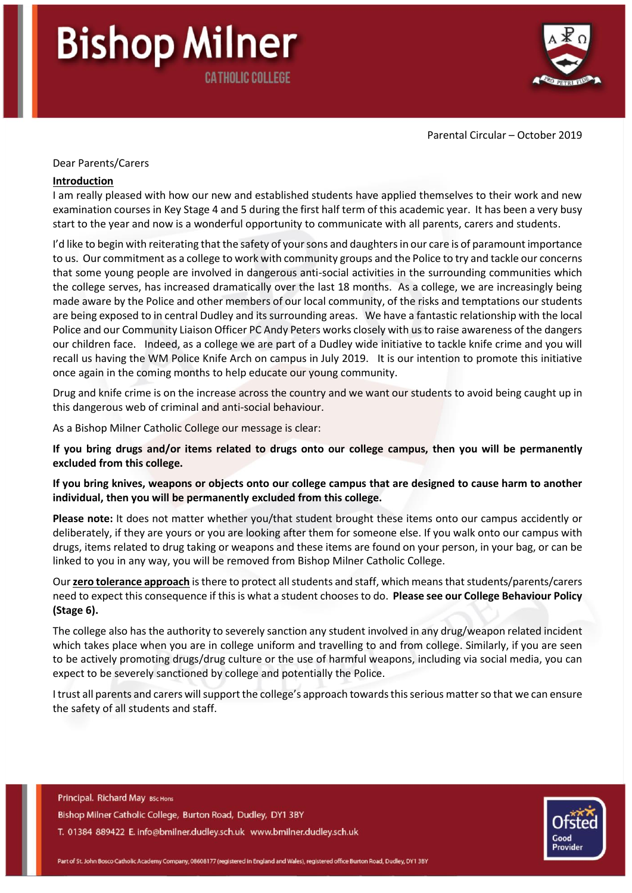# **Bishop Milner CATHOLIC COLLEGE**



Parental Circular – October 2019

#### Dear Parents/Carers

#### **Introduction**

I am really pleased with how our new and established students have applied themselves to their work and new examination courses in Key Stage 4 and 5 during the first half term of this academic year. It has been a very busy start to the year and now is a wonderful opportunity to communicate with all parents, carers and students.

I'd like to begin with reiterating that the safety of your sons and daughters in our care is of paramount importance to us. Our commitment as a college to work with community groups and the Police to try and tackle our concerns that some young people are involved in dangerous anti-social activities in the surrounding communities which the college serves, has increased dramatically over the last 18 months. As a college, we are increasingly being made aware by the Police and other members of our local community, of the risks and temptations our students are being exposed to in central Dudley and its surrounding areas. We have a fantastic relationship with the local Police and our Community Liaison Officer PC Andy Peters works closely with us to raise awareness of the dangers our children face. Indeed, as a college we are part of a Dudley wide initiative to tackle knife crime and you will recall us having the WM Police Knife Arch on campus in July 2019. It is our intention to promote this initiative once again in the coming months to help educate our young community.

Drug and knife crime is on the increase across the country and we want our students to avoid being caught up in this dangerous web of criminal and anti-social behaviour.

As a Bishop Milner Catholic College our message is clear:

**If you bring drugs and/or items related to drugs onto our college campus, then you will be permanently excluded from this college.** 

**If you bring knives, weapons or objects onto our college campus that are designed to cause harm to another individual, then you will be permanently excluded from this college.**

**Please note:** It does not matter whether you/that student brought these items onto our campus accidently or deliberately, if they are yours or you are looking after them for someone else. If you walk onto our campus with drugs, items related to drug taking or weapons and these items are found on your person, in your bag, or can be linked to you in any way, you will be removed from Bishop Milner Catholic College.

Our **zero tolerance approach** is there to protect all students and staff, which means that students/parents/carers need to expect this consequence if this is what a student chooses to do. **Please see our College Behaviour Policy (Stage 6).** 

The college also has the authority to severely sanction any student involved in any drug/weapon related incident which takes place when you are in college uniform and travelling to and from college. Similarly, if you are seen to be actively promoting drugs/drug culture or the use of harmful weapons, including via social media, you can expect to be severely sanctioned by college and potentially the Police.

I trust all parents and carers will support the college's approach towards this serious matter so that we can ensure the safety of all students and staff.

Principal. Richard May BSc Hons Bishop Milner Catholic College, Burton Road, Dudley, DY1 3BY T. 01384 889422 E. info@bmilner.dudley.sch.uk www.bmilner.dudley.sch.uk

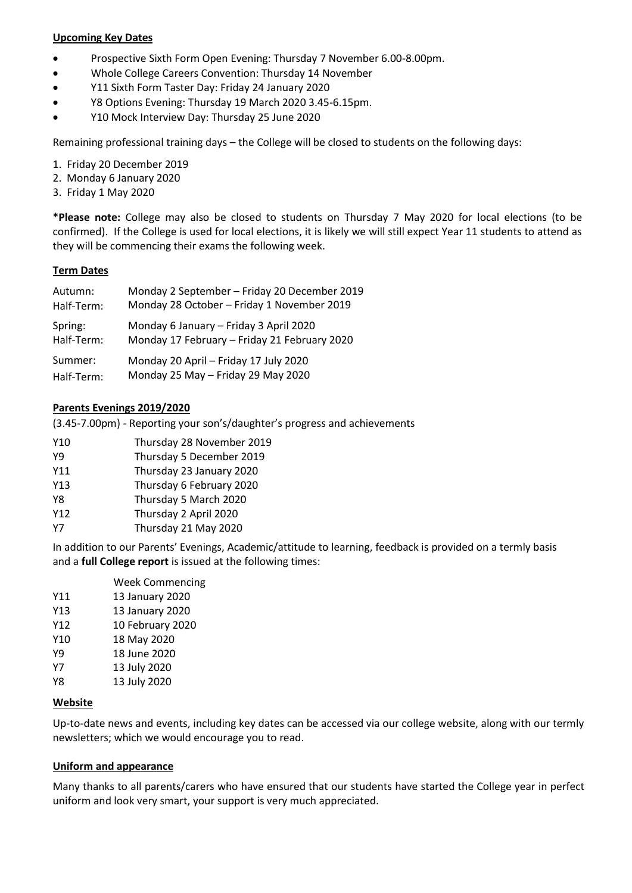#### **Upcoming Key Dates**

- Prospective Sixth Form Open Evening: Thursday 7 November 6.00-8.00pm.
- Whole College Careers Convention: Thursday 14 November
- Y11 Sixth Form Taster Day: Friday 24 January 2020
- Y8 Options Evening: Thursday 19 March 2020 3.45-6.15pm.
- Y10 Mock Interview Day: Thursday 25 June 2020

Remaining professional training days – the College will be closed to students on the following days:

- 1. Friday 20 December 2019
- 2. Monday 6 January 2020
- 3. Friday 1 May 2020

**\*Please note:** College may also be closed to students on Thursday 7 May 2020 for local elections (to be confirmed). If the College is used for local elections, it is likely we will still expect Year 11 students to attend as they will be commencing their exams the following week.

# **Term Dates**

| Autumn:    | Monday 2 September - Friday 20 December 2019 |
|------------|----------------------------------------------|
| Half-Term: | Monday 28 October - Friday 1 November 2019   |
| Spring:    | Monday 6 January - Friday 3 April 2020       |
| Half-Term: | Monday 17 February - Friday 21 February 2020 |
| Summer:    | Monday 20 April - Friday 17 July 2020        |
| Half-Term: | Monday 25 May - Friday 29 May 2020           |

# **Parents Evenings 2019/2020**

(3.45-7.00pm) - Reporting your son's/daughter's progress and achievements

| Y10 | Thursday 28 November 2019 |
|-----|---------------------------|
| Y9  | Thursday 5 December 2019  |
| Y11 | Thursday 23 January 2020  |
| Y13 | Thursday 6 February 2020  |
| Y8  | Thursday 5 March 2020     |
| Y12 | Thursday 2 April 2020     |
| Υ7  | Thursday 21 May 2020      |

In addition to our Parents' Evenings, Academic/attitude to learning, feedback is provided on a termly basis and a **full College report** is issued at the following times:

|     | <b>Week Commencing</b> |
|-----|------------------------|
| Y11 | 13 January 2020        |
| Y13 | 13 January 2020        |
| Y12 | 10 February 2020       |
| Y10 | 18 May 2020            |
| Υ9  | 18 June 2020           |
| Υ7  | 13 July 2020           |
| Y8  | 13 July 2020           |
|     |                        |

# **Website**

Up-to-date news and events, including key dates can be accessed via our college website, along with our termly newsletters; which we would encourage you to read.

# **Uniform and appearance**

Many thanks to all parents/carers who have ensured that our students have started the College year in perfect uniform and look very smart, your support is very much appreciated.